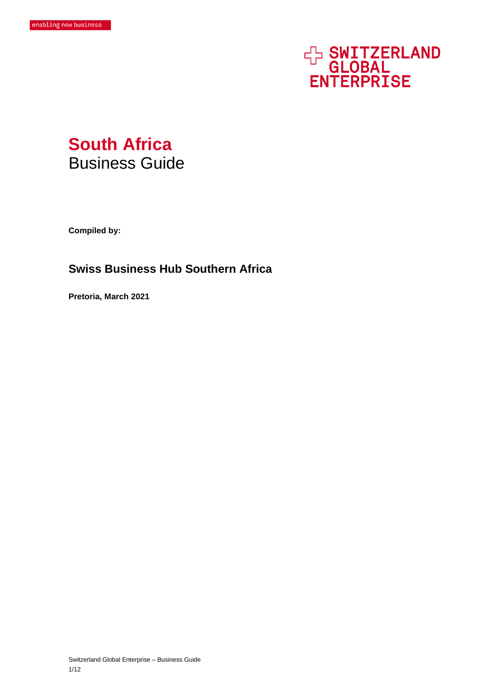# **EN SWITZERLAND<br>GLOBAL<br>ENTERPRISE**



**Compiled by:** 

# **Swiss Business Hub Southern Africa**

**Pretoria, March 2021**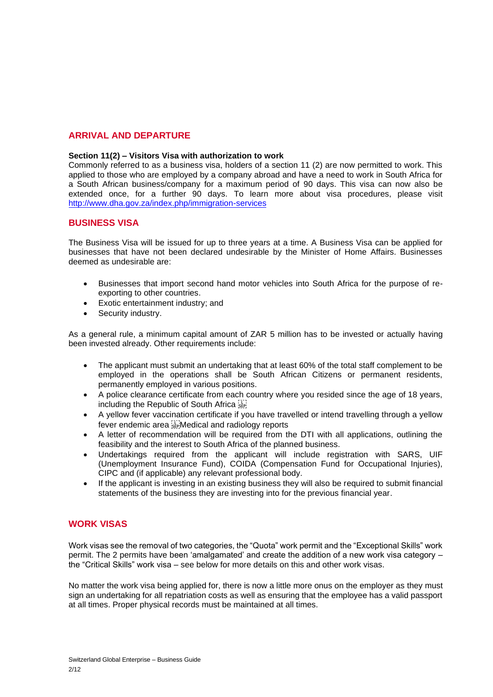# **ARRIVAL AND DEPARTURE**

### **Section 11(2) – Visitors Visa with authorization to work**

Commonly referred to as a business visa, holders of a section 11 (2) are now permitted to work. This applied to those who are employed by a company abroad and have a need to work in South Africa for a South African business/company for a maximum period of 90 days. This visa can now also be extended once, for a further 90 days. To learn more about visa procedures, please visit <http://www.dha.gov.za/index.php/immigration-services>

### **BUSINESS VISA**

The Business Visa will be issued for up to three years at a time. A Business Visa can be applied for businesses that have not been declared undesirable by the Minister of Home Affairs. Businesses deemed as undesirable are:

- Businesses that import second hand motor vehicles into South Africa for the purpose of reexporting to other countries.
- Exotic entertainment industry; and
- Security industry.

As a general rule, a minimum capital amount of ZAR 5 million has to be invested or actually having been invested already. Other requirements include:

- The applicant must submit an undertaking that at least 60% of the total staff complement to be employed in the operations shall be South African Citizens or permanent residents, permanently employed in various positions.
- A police clearance certificate from each country where you resided since the age of 18 years, including the Republic of South Africa
- A yellow fever vaccination certificate if you have travelled or intend travelling through a yellow fever endemic area Medical and radiology reports
- A letter of recommendation will be required from the DTI with all applications, outlining the feasibility and the interest to South Africa of the planned business.
- Undertakings required from the applicant will include registration with SARS, UIF (Unemployment Insurance Fund), COIDA (Compensation Fund for Occupational Injuries), CIPC and (if applicable) any relevant professional body.
- If the applicant is investing in an existing business they will also be required to submit financial statements of the business they are investing into for the previous financial year.

# **WORK VISAS**

Work visas see the removal of two categories, the "Quota" work permit and the "Exceptional Skills" work permit. The 2 permits have been 'amalgamated' and create the addition of a new work visa category – the "Critical Skills" work visa – see below for more details on this and other work visas.

No matter the work visa being applied for, there is now a little more onus on the employer as they must sign an undertaking for all repatriation costs as well as ensuring that the employee has a valid passport at all times. Proper physical records must be maintained at all times.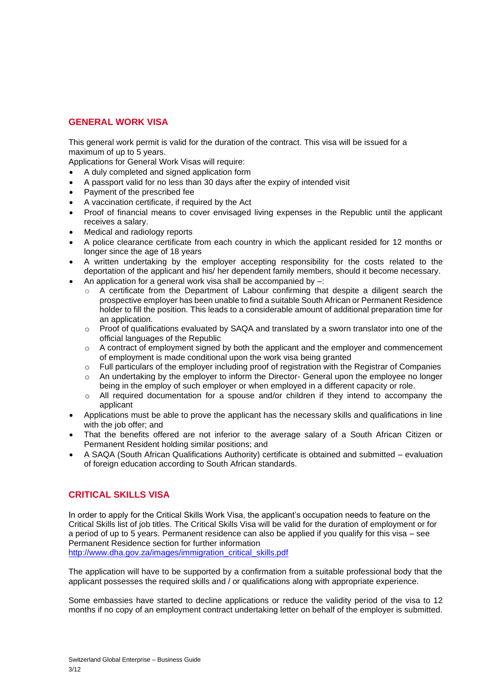# **GENERAL WORK VISA**

This general work permit is valid for the duration of the contract. This visa will be issued for a maximum of up to 5 years.

Applications for General Work Visas will require:

- A duly completed and signed application form
- A passport valid for no less than 30 days after the expiry of intended visit
- Payment of the prescribed fee
- A vaccination certificate, if required by the Act
- Proof of financial means to cover envisaged living expenses in the Republic until the applicant receives a salary.
- Medical and radiology reports
- A police clearance certificate from each country in which the applicant resided for 12 months or longer since the age of 18 years
- A written undertaking by the employer accepting responsibility for the costs related to the deportation of the applicant and his/ her dependent family members, should it become necessary.
- An application for a general work visa shall be accompanied by  $-$ :
	- $\circ$  A certificate from the Department of Labour confirming that despite a diligent search the prospective employer has been unable to find a suitable South African or Permanent Residence holder to fill the position. This leads to a considerable amount of additional preparation time for an application.
	- $\circ$  Proof of qualifications evaluated by SAQA and translated by a sworn translator into one of the official languages of the Republic
	- $\circ$  A contract of employment signed by both the applicant and the employer and commencement of employment is made conditional upon the work visa being granted
	- o Full particulars of the employer including proof of registration with the Registrar of Companies
	- $\circ$  An undertaking by the employer to inform the Director- General upon the employee no longer being in the employ of such employer or when employed in a different capacity or role.
	- $\circ$  All required documentation for a spouse and/or children if they intend to accompany the applicant
- Applications must be able to prove the applicant has the necessary skills and qualifications in line with the job offer; and
- That the benefits offered are not inferior to the average salary of a South African Citizen or Permanent Resident holding similar positions; and
- A SAQA (South African Qualifications Authority) certificate is obtained and submitted evaluation of foreign education according to South African standards.

# **CRITICAL SKILLS VISA**

In order to apply for the Critical Skills Work Visa, the applicant's occupation needs to feature on the Critical Skills list of job titles. The Critical Skills Visa will be valid for the duration of employment or for a period of up to 5 years. Permanent residence can also be applied if you qualify for this visa – see Permanent Residence section for further information

[http://www.dha.gov.za/images/immigration\\_critical\\_skills.pdf](http://www.dha.gov.za/images/immigration_critical_skills.pdf)

The application will have to be supported by a confirmation from a suitable professional body that the applicant possesses the required skills and / or qualifications along with appropriate experience.

Some embassies have started to decline applications or reduce the validity period of the visa to 12 months if no copy of an employment contract undertaking letter on behalf of the employer is submitted.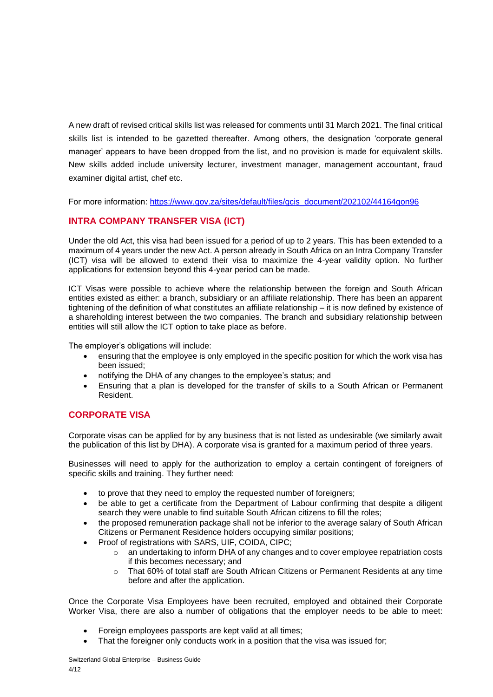A new draft of revised critical skills list was released for comments until 31 March 2021. The final critical skills list is intended to be gazetted thereafter. Among others, the designation 'corporate general manager' appears to have been dropped from the list, and no provision is made for equivalent skills. New skills added include university lecturer, investment manager, management accountant, fraud examiner digital artist, chef etc.

For more information: [https://www.gov.za/sites/default/files/gcis\\_document/202102/44164gon96](https://www.gov.za/sites/default/files/gcis_document/202102/44164gon96)

# **INTRA COMPANY TRANSFER VISA (ICT)**

Under the old Act, this visa had been issued for a period of up to 2 years. This has been extended to a maximum of 4 years under the new Act. A person already in South Africa on an Intra Company Transfer (ICT) visa will be allowed to extend their visa to maximize the 4-year validity option. No further applications for extension beyond this 4-year period can be made.

ICT Visas were possible to achieve where the relationship between the foreign and South African entities existed as either: a branch, subsidiary or an affiliate relationship. There has been an apparent tightening of the definition of what constitutes an affiliate relationship – it is now defined by existence of a shareholding interest between the two companies. The branch and subsidiary relationship between entities will still allow the ICT option to take place as before.

The employer's obligations will include:

- ensuring that the employee is only employed in the specific position for which the work visa has been issued;
- notifying the DHA of any changes to the employee's status; and
- Ensuring that a plan is developed for the transfer of skills to a South African or Permanent Resident.

# **CORPORATE VISA**

Corporate visas can be applied for by any business that is not listed as undesirable (we similarly await the publication of this list by DHA). A corporate visa is granted for a maximum period of three years.

Businesses will need to apply for the authorization to employ a certain contingent of foreigners of specific skills and training. They further need:

- to prove that they need to employ the requested number of foreigners;
- be able to get a certificate from the Department of Labour confirming that despite a diligent search they were unable to find suitable South African citizens to fill the roles;
- the proposed remuneration package shall not be inferior to the average salary of South African Citizens or Permanent Residence holders occupying similar positions;
- Proof of registrations with SARS, UIF, COIDA, CIPC;
	- o an undertaking to inform DHA of any changes and to cover employee repatriation costs if this becomes necessary; and
	- o That 60% of total staff are South African Citizens or Permanent Residents at any time before and after the application.

Once the Corporate Visa Employees have been recruited, employed and obtained their Corporate Worker Visa, there are also a number of obligations that the employer needs to be able to meet:

- Foreign employees passports are kept valid at all times;
- That the foreigner only conducts work in a position that the visa was issued for;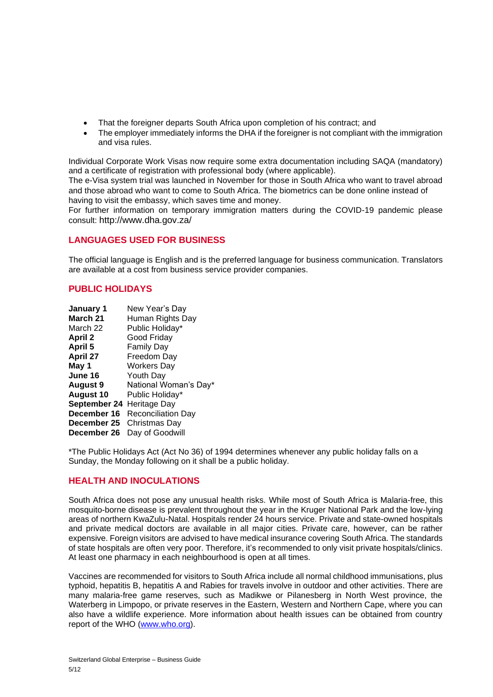- That the foreigner departs South Africa upon completion of his contract; and
- The employer immediately informs the DHA if the foreigner is not compliant with the immigration and visa rules.

Individual Corporate Work Visas now require some extra documentation including SAQA (mandatory) and a certificate of registration with professional body (where applicable).

The e-Visa system trial was launched in November for those in South Africa who want to travel abroad and those abroad who want to come to South Africa. The biometrics can be done online instead of having to visit the embassy, which saves time and money.

For further information on temporary immigration matters during the COVID-19 pandemic please consult: <http://www.dha.gov.za/>

# **LANGUAGES USED FOR BUSINESS**

The official language is English and is the preferred language for business communication. Translators are available at a cost from business service provider companies.

# **PUBLIC HOLIDAYS**

**January 1** New Year's Day **March 21** Human Rights Day March 22 Public Holiday\* **April 2** Good Friday **April 5** Family Day<br> **April 27** Freedom Day **April 27** Freedom Day **May 1** Workers Day **June 16** Youth Day **August 9** National Woman's Day\* **August 10** Public Holiday\* **September 24** Heritage Day **December 16** Reconciliation Day **December 25** Christmas Day **December 26** Day of Goodwill

\*The Public Holidays Act (Act No 36) of 1994 determines whenever any public holiday falls on a Sunday, the Monday following on it shall be a public holiday.

# **HEALTH AND INOCULATIONS**

South Africa does not pose any unusual health risks. While most of South Africa is Malaria-free, this mosquito-borne disease is prevalent throughout the year in the Kruger National Park and the low-lying areas of northern KwaZulu-Natal. Hospitals render 24 hours service. Private and state-owned hospitals and private medical doctors are available in all major cities. Private care, however, can be rather expensive. Foreign visitors are advised to have medical insurance covering South Africa. The standards of state hospitals are often very poor. Therefore, it's recommended to only visit private hospitals/clinics. At least one pharmacy in each neighbourhood is open at all times.

Vaccines are recommended for visitors to South Africa include all normal childhood immunisations, plus typhoid, hepatitis B, hepatitis A and Rabies for travels involve in outdoor and other activities. There are many malaria-free game reserves, such as Madikwe or Pilanesberg in North West province, the Waterberg in Limpopo, or private reserves in the Eastern, Western and Northern Cape, where you can also have a wildlife experience. More information about health issues can be obtained from country report of the WHO [\(www.who.org\)](http://www.who.org/).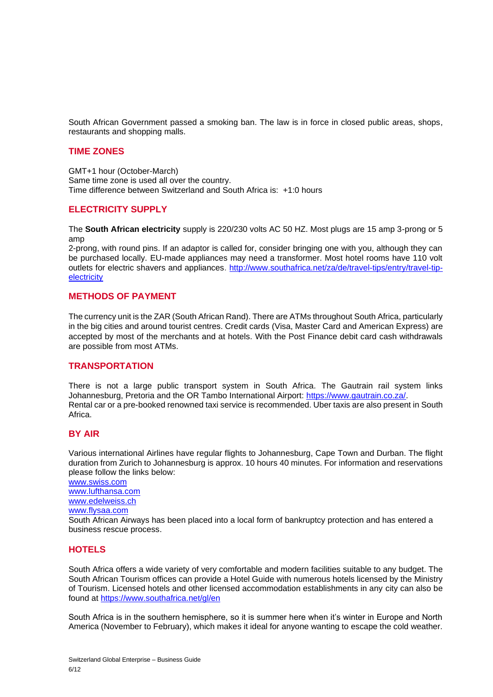South African Government passed a smoking ban. The law is in force in closed public areas, shops, restaurants and shopping malls.

### **TIME ZONES**

GMT+1 hour (October-March) Same time zone is used all over the country. Time difference between Switzerland and South Africa is: +1:0 hours

# **ELECTRICITY SUPPLY**

The **South African electricity** supply is 220/230 volts AC 50 HZ. Most plugs are 15 amp 3-prong or 5 amp

2-prong, with round pins. If an adaptor is called for, consider bringing one with you, although they can be purchased locally. EU-made appliances may need a transformer. Most hotel rooms have 110 volt outlets for electric shavers and appliances. [http://www.southafrica.net/za/de/travel-tips/entry/travel-tip](http://www.southafrica.net/za/de/travel-tips/entry/travel-tip-electricity)[electricity](http://www.southafrica.net/za/de/travel-tips/entry/travel-tip-electricity)

# **METHODS OF PAYMENT**

The currency unit is the ZAR (South African Rand). There are ATMs throughout South Africa, particularly in the big cities and around tourist centres. Credit cards (Visa, Master Card and American Express) are accepted by most of the merchants and at hotels. With the Post Finance debit card cash withdrawals are possible from most ATMs.

### **TRANSPORTATION**

There is not a large public transport system in South Africa. The Gautrain rail system links Johannesburg, Pretoria and the OR Tambo International Airport: [https://www.gautrain.co.za/.](https://www.gautrain.co.za/) Rental car or a pre-booked renowned taxi service is recommended. Uber taxis are also present in South Africa.

# **BY AIR**

Various international Airlines have regular flights to Johannesburg, Cape Town and Durban. The flight duration from Zurich to Johannesburg is approx. 10 hours 40 minutes. For information and reservations please follow the links below:

[www.swiss.com](http://www.swiss.com/) [www.lufthansa.com](http://www.lufthansa.com/) [www.edelweiss.ch](http://www.edelweiss.ch/)

[www.flysaa.com](http://www.flysaa.com/)

South African Airways has been placed into a local form of bankruptcy protection and has entered a business rescue process.

# **HOTELS**

South Africa offers a wide variety of very comfortable and modern facilities suitable to any budget. The South African Tourism offices can provide a Hotel Guide with numerous hotels licensed by the Ministry of Tourism. Licensed hotels and other licensed accommodation establishments in any city can also be found at <https://www.southafrica.net/gl/en>

South Africa is in the southern hemisphere, so it is summer here when it's winter in Europe and North America (November to February), which makes it ideal for anyone wanting to escape the cold weather.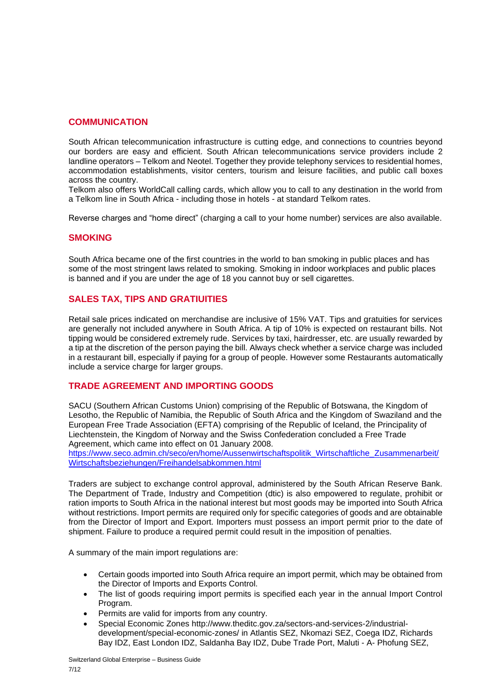# **COMMUNICATION**

South African telecommunication infrastructure is cutting edge, and connections to countries beyond our borders are easy and efficient. South African telecommunications service providers include 2 landline operators – Telkom and Neotel. Together they provide telephony services to residential homes, accommodation establishments, visitor centers, tourism and leisure facilities, and public call boxes across the country.

Telkom also offers WorldCall calling cards, which allow you to call to any destination in the world from a Telkom line in South Africa - including those in hotels - at standard Telkom rates.

Reverse charges and "home direct" (charging a call to your home number) services are also available.

### **SMOKING**

South Africa became one of the first countries in the world to ban smoking in public places and has some of the most stringent laws related to smoking. Smoking in indoor workplaces and public places is banned and if you are under the age of 18 you cannot buy or sell cigarettes.

### **SALES TAX, TIPS AND GRATIUITIES**

Retail sale prices indicated on merchandise are inclusive of 15% VAT. Tips and gratuities for services are generally not included anywhere in South Africa. A tip of 10% is expected on restaurant bills. Not tipping would be considered extremely rude. Services by taxi, hairdresser, etc. are usually rewarded by a tip at the discretion of the person paying the bill. Always check whether a service charge was included in a restaurant bill, especially if paying for a group of people. However some Restaurants automatically include a service charge for larger groups.

### **TRADE AGREEMENT AND IMPORTING GOODS**

SACU (Southern African Customs Union) comprising of the Republic of Botswana, the Kingdom of Lesotho, the Republic of Namibia, the Republic of South Africa and the Kingdom of Swaziland and the European Free Trade Association (EFTA) comprising of the Republic of Iceland, the Principality of Liechtenstein, the Kingdom of Norway and the Swiss Confederation concluded a Free Trade Agreement, which came into effect on 01 January 2008.

[https://www.seco.admin.ch/seco/en/home/Aussenwirtschaftspolitik\\_Wirtschaftliche\\_Zusammenarbeit/](https://www.seco.admin.ch/seco/en/home/Aussenwirtschaftspolitik_Wirtschaftliche_Zusammenarbeit/Wirtschaftsbeziehungen/Freihandelsabkommen.html) [Wirtschaftsbeziehungen/Freihandelsabkommen.html](https://www.seco.admin.ch/seco/en/home/Aussenwirtschaftspolitik_Wirtschaftliche_Zusammenarbeit/Wirtschaftsbeziehungen/Freihandelsabkommen.html)

Traders are subject to exchange control approval, administered by the South African Reserve Bank. The Department of Trade, Industry and Competition (dtic) is also empowered to regulate, prohibit or ration imports to South Africa in the national interest but most goods may be imported into South Africa without restrictions. Import permits are required only for specific categories of goods and are obtainable from the Director of Import and Export. Importers must possess an import permit prior to the date of shipment. Failure to produce a required permit could result in the imposition of penalties.

A summary of the main import regulations are:

- Certain goods imported into South Africa require an import permit, which may be obtained from the Director of Imports and Exports Control.
- The list of goods requiring import permits is specified each year in the annual Import Control Program.
- Permits are valid for imports from any country.
- Special Economic Zones http://www.theditc.gov.za/sectors-and-services-2/industrialdevelopment/special-economic-zones/ in Atlantis SEZ, Nkomazi SEZ, Coega IDZ, Richards Bay IDZ, East London IDZ, Saldanha Bay IDZ, Dube Trade Port, Maluti - A- Phofung SEZ,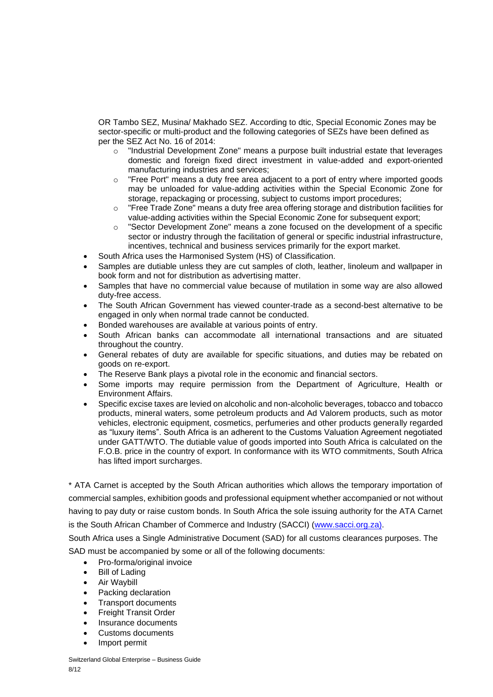OR Tambo SEZ, Musina/ Makhado SEZ. According to dtic, Special Economic Zones may be sector-specific or multi-product and the following categories of SEZs have been defined as per the SEZ Act No. 16 of 2014:

- o "Industrial Development Zone" means a purpose built industrial estate that leverages domestic and foreign fixed direct investment in value-added and export-oriented manufacturing industries and services;
- $\circ$  "Free Port" means a duty free area adjacent to a port of entry where imported goods may be unloaded for value-adding activities within the Special Economic Zone for storage, repackaging or processing, subject to customs import procedures;
- o "Free Trade Zone" means a duty free area offering storage and distribution facilities for value-adding activities within the Special Economic Zone for subsequent export;
- o "Sector Development Zone" means a zone focused on the development of a specific sector or industry through the facilitation of general or specific industrial infrastructure, incentives, technical and business services primarily for the export market.
- South Africa uses the Harmonised System (HS) of Classification.
- Samples are dutiable unless they are cut samples of cloth, leather, linoleum and wallpaper in book form and not for distribution as advertising matter.
- Samples that have no commercial value because of mutilation in some way are also allowed duty-free access.
- The South African Government has viewed counter-trade as a second-best alternative to be engaged in only when normal trade cannot be conducted.
- Bonded warehouses are available at various points of entry.
- South African banks can accommodate all international transactions and are situated throughout the country.
- General rebates of duty are available for specific situations, and duties may be rebated on goods on re-export.
- The Reserve Bank plays a pivotal role in the economic and financial sectors.
- Some imports may require permission from the Department of Agriculture, Health or Environment Affairs.
- Specific excise taxes are levied on alcoholic and non-alcoholic beverages, tobacco and tobacco products, mineral waters, some petroleum products and Ad Valorem products, such as motor vehicles, electronic equipment, cosmetics, perfumeries and other products generally regarded as "luxury items". South Africa is an adherent to the Customs Valuation Agreement negotiated under GATT/WTO. The dutiable value of goods imported into South Africa is calculated on the F.O.B. price in the country of export. In conformance with its WTO commitments, South Africa has lifted import surcharges.

\* ATA Carnet is accepted by the South African authorities which allows the temporary importation of commercial samples, exhibition goods and professional equipment whether accompanied or not without having to pay duty or raise custom bonds. In South Africa the sole issuing authority for the ATA Carnet is the South African Chamber of Commerce and Industry (SACCI) [\(www.sacci.org.za\)](http://www.sacci.org.za/).

South Africa uses a Single Administrative Document (SAD) for all customs clearances purposes. The SAD must be accompanied by some or all of the following documents:

• Pro-forma/original invoice

- Bill of Lading
- Air Waybill
- Packing declaration
- Transport documents
- Freight Transit Order
- Insurance documents
- Customs documents
- Import permit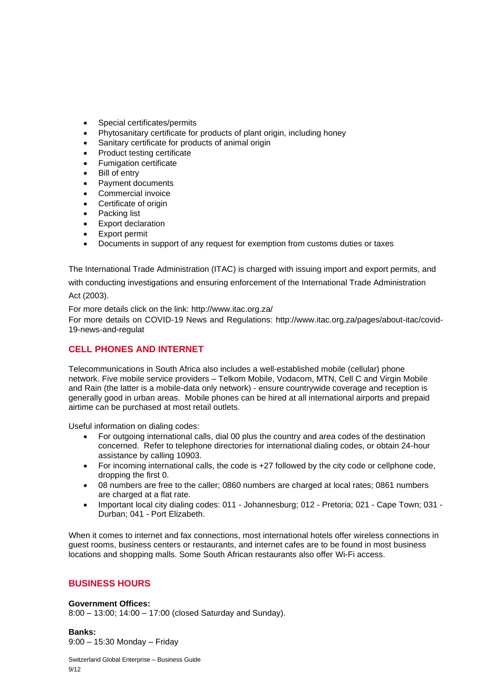- Special certificates/permits
- Phytosanitary certificate for products of plant origin, including honey
- Sanitary certificate for products of animal origin
- Product testing certificate
- Fumigation certificate
- **Bill of entry**
- Payment documents
- Commercial invoice
- Certificate of origin
- Packing list
- Export declaration
- Export permit
- Documents in support of any request for exemption from customs duties or taxes

The International Trade Administration (ITAC) is charged with issuing import and export permits, and with conducting investigations and ensuring enforcement of the International Trade Administration Act (2003).

For more details click on the link: http://www.itac.org.za/

For more details on COVID-19 News and Regulations: http://www.itac.org.za/pages/about-itac/covid-19-news-and-regulat

# **CELL PHONES AND INTERNET**

Telecommunications in South Africa also includes a well-established mobile (cellular) phone network. Five mobile service providers – Telkom Mobile, Vodacom, MTN, Cell C and Virgin Mobile and Rain (the latter is a mobile-data only network) - ensure countrywide coverage and reception is generally good in urban areas. Mobile phones can be hired at all international airports and prepaid airtime can be purchased at most retail outlets.

Useful information on dialing codes:

- For outgoing international calls, dial 00 plus the country and area codes of the destination concerned. Refer to telephone directories for international dialing codes, or obtain 24-hour assistance by calling 10903.
- For incoming international calls, the code is +27 followed by the city code or cellphone code, dropping the first 0.
- 08 numbers are free to the caller; 0860 numbers are charged at local rates; 0861 numbers are charged at a flat rate.
- Important local city dialing codes: 011 Johannesburg; 012 Pretoria; 021 Cape Town; 031 Durban; 041 - Port Elizabeth.

When it comes to internet and fax connections, most international hotels offer wireless connections in guest rooms, business centers or restaurants, and internet cafes are to be found in most business locations and shopping malls. Some South African restaurants also offer Wi-Fi access.

# **BUSINESS HOURS**

### **Government Offices:**

8:00 – 13:00; 14:00 – 17:00 (closed Saturday and Sunday).

**Banks:**  9:00 – 15:30 Monday – Friday

Switzerland Global Enterprise – Business Guide 9/12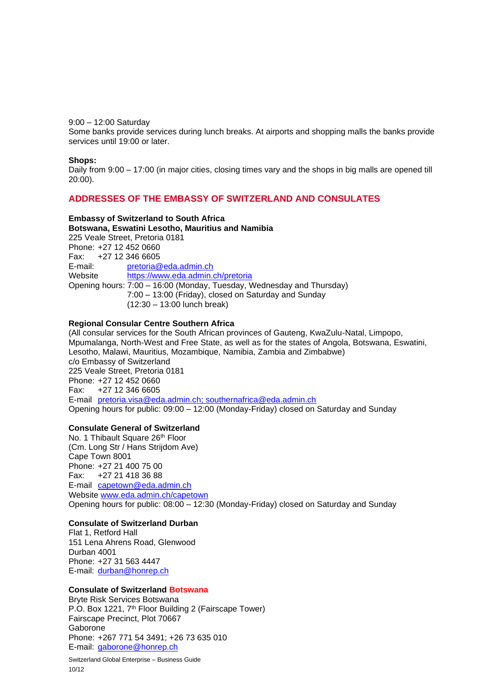### 9:00 – 12:00 Saturday

Some banks provide services during lunch breaks. At airports and shopping malls the banks provide services until 19:00 or later.

### **Shops:**

Daily from 9:00 – 17:00 (in major cities, closing times vary and the shops in big malls are opened till 20:00).

### **ADDRESSES OF THE EMBASSY OF SWITZERLAND AND CONSULATES**

### **Embassy of Switzerland to South Africa**

**Botswana, Eswatini Lesotho, Mauritius and Namibia**  225 Veale Street, Pretoria 0181 Phone: +27 12 452 0660 Fax: +27 12 346 6605 E-mail: [pretoria@eda.admin.ch](mailto:pre.vertretung@eda.admin.ch) Website <https://www.eda.admin.ch/pretoria> Opening hours: 7:00 – 16:00 (Monday, Tuesday, Wednesday and Thursday) 7:00 – 13:00 (Friday), closed on Saturday and Sunday (12:30 – 13:00 lunch break)

### **Regional Consular Centre Southern Africa**

(All consular services for the South African provinces of Gauteng, KwaZulu-Natal, Limpopo, Mpumalanga, North-West and Free State, as well as for the states of Angola, Botswana, Eswatini, Lesotho, Malawi, Mauritius, Mozambique, Namibia, Zambia and Zimbabwe) c/o Embassy of Switzerland 225 Veale Street, Pretoria 0181 Phone: +27 12 452 0660 Fax: +27 12 346 6605 E-mail [pretoria.visa@eda.admin.ch;](mailto:pretoria.visa@eda.admin.ch) southernafrica@eda.admin.ch Opening hours for public: 09:00 – 12:00 (Monday-Friday) closed on Saturday and Sunday

### **Consulate General of Switzerland**

No. 1 Thibault Square 26<sup>th</sup> Floor (Cm. Long Str / Hans Strijdom Ave) Cape Town 8001 Phone: +27 21 400 75 00 Fax: +27 21 418 36 88 E-mail [capetown@](mailto:cap.vertretung@eda.admin.ch)eda.admin.ch Website [www.eda.admin.ch/capetown](http://www.eda.admin.ch/capetown) Opening hours for public: 08:00 – 12:30 (Monday-Friday) closed on Saturday and Sunday

## **Consulate of Switzerland Durban**

Flat 1, Retford Hall 151 Lena Ahrens Road, Glenwood Durban 4001 Phone: +27 31 563 4447 E-mail: [durban@honrep.ch](mailto:durban@honrep.ch)

### **Consulate of Switzerland Botswana**

Bryte Risk Services Botswana P.O. Box 1221, 7<sup>th</sup> Floor Building 2 (Fairscape Tower) Fairscape Precinct, Plot 70667 Gaborone Phone: +267 771 54 3491; +26 73 635 010 E-mail: [gaborone@honrep.ch](mailto:gaborone@honrep.ch)

Switzerland Global Enterprise – Business Guide 10/12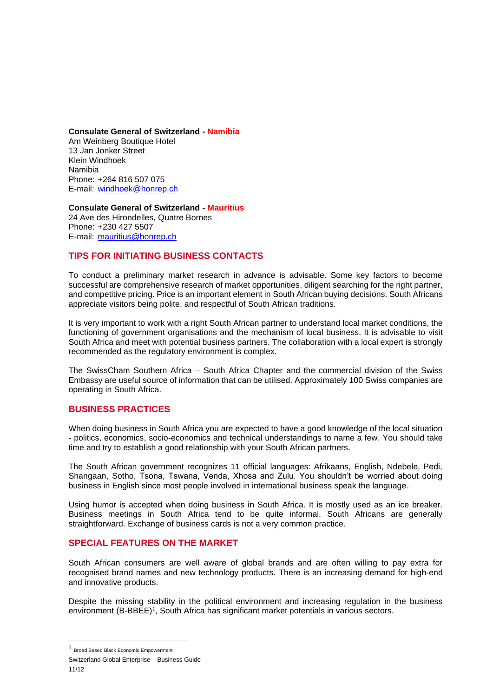**Consulate General of Switzerland - Namibia**  Am Weinberg Boutique Hotel 13 Jan Jonker Street Klein Windhoek Namibia Phone: +264 816 507 075 E-mail: [windhoek@honrep.ch](mailto:windhoek@honrep.ch)

**Consulate General of Switzerland - Mauritius**  24 Ave des Hirondelles, Quatre Bornes Phone: +230 427 5507 E-mail: [mauritius@honrep.ch](mailto:mauritius@honrep.ch)

# **TIPS FOR INITIATING BUSINESS CONTACTS**

To conduct a preliminary market research in advance is advisable. Some key factors to become successful are comprehensive research of market opportunities, diligent searching for the right partner, and competitive pricing. Price is an important element in South African buying decisions. South Africans appreciate visitors being polite, and respectful of South African traditions.

It is very important to work with a right South African partner to understand local market conditions, the functioning of government organisations and the mechanism of local business. It is advisable to visit South Africa and meet with potential business partners. The collaboration with a local expert is strongly recommended as the regulatory environment is complex.

The SwissCham Southern Africa – South Africa Chapter and the commercial division of the Swiss Embassy are useful source of information that can be utilised. Approximately 100 Swiss companies are operating in South Africa.

### **BUSINESS PRACTICES**

When doing business in South Africa you are expected to have a good knowledge of the local situation - politics, economics, socio-economics and technical understandings to name a few. You should take time and try to establish a good relationship with your South African partners.

The South African government recognizes 11 official languages: Afrikaans, English, Ndebele, Pedi, Shangaan, Sotho, Tsona, Tswana, Venda, Xhosa and Zulu. You shouldn't be worried about doing business in English since most people involved in international business speak the language.

Using humor is accepted when doing business in South Africa. It is mostly used as an ice breaker. Business meetings in South Africa tend to be quite informal. South Africans are generally straightforward. Exchange of business cards is not a very common practice.

# **SPECIAL FEATURES ON THE MARKET**

South African consumers are well aware of global brands and are often willing to pay extra for recognised brand names and new technology products. There is an increasing demand for high-end and innovative products.

Despite the missing stability in the political environment and increasing regulation in the business environment (B-BBEE)<sup>1</sup>, South Africa has significant market potentials in various sectors.

<sup>1</sup> Broad Based Black Economic Empowerment

Switzerland Global Enterprise – Business Guide